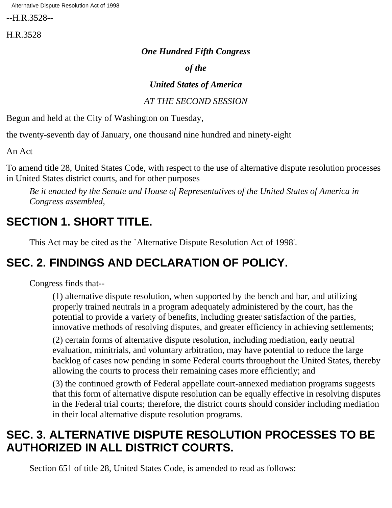Alternative Dispute Resolution Act of 1998

--H.R.3528--

H.R.3528

#### *One Hundred Fifth Congress*

#### *of the*

#### *United States of America*

#### *AT THE SECOND SESSION*

Begun and held at the City of Washington on Tuesday,

the twenty-seventh day of January, one thousand nine hundred and ninety-eight

An Act

To amend title 28, United States Code, with respect to the use of alternative dispute resolution processes in United States district courts, and for other purposes

*Be it enacted by the Senate and House of Representatives of the United States of America in Congress assembled*,

### **SECTION 1. SHORT TITLE.**

This Act may be cited as the `Alternative Dispute Resolution Act of 1998'.

## **SEC. 2. FINDINGS AND DECLARATION OF POLICY.**

Congress finds that--

(1) alternative dispute resolution, when supported by the bench and bar, and utilizing properly trained neutrals in a program adequately administered by the court, has the potential to provide a variety of benefits, including greater satisfaction of the parties, innovative methods of resolving disputes, and greater efficiency in achieving settlements;

(2) certain forms of alternative dispute resolution, including mediation, early neutral evaluation, minitrials, and voluntary arbitration, may have potential to reduce the large backlog of cases now pending in some Federal courts throughout the United States, thereby allowing the courts to process their remaining cases more efficiently; and

(3) the continued growth of Federal appellate court-annexed mediation programs suggests that this form of alternative dispute resolution can be equally effective in resolving disputes in the Federal trial courts; therefore, the district courts should consider including mediation in their local alternative dispute resolution programs.

### **SEC. 3. ALTERNATIVE DISPUTE RESOLUTION PROCESSES TO BE AUTHORIZED IN ALL DISTRICT COURTS.**

Section 651 of title 28, United States Code, is amended to read as follows: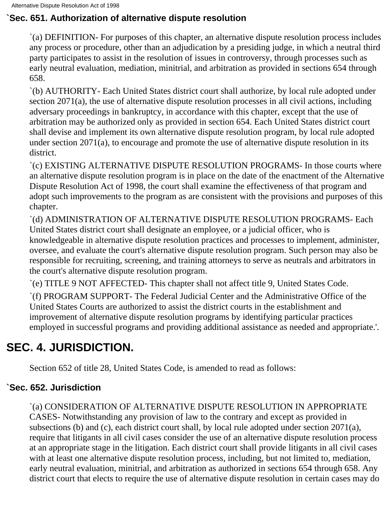### **`Sec. 651. Authorization of alternative dispute resolution**

`(a) DEFINITION- For purposes of this chapter, an alternative dispute resolution process includes any process or procedure, other than an adjudication by a presiding judge, in which a neutral third party participates to assist in the resolution of issues in controversy, through processes such as early neutral evaluation, mediation, minitrial, and arbitration as provided in sections 654 through 658.

`(b) AUTHORITY- Each United States district court shall authorize, by local rule adopted under section 2071(a), the use of alternative dispute resolution processes in all civil actions, including adversary proceedings in bankruptcy, in accordance with this chapter, except that the use of arbitration may be authorized only as provided in section 654. Each United States district court shall devise and implement its own alternative dispute resolution program, by local rule adopted under section 2071(a), to encourage and promote the use of alternative dispute resolution in its district.

`(c) EXISTING ALTERNATIVE DISPUTE RESOLUTION PROGRAMS- In those courts where an alternative dispute resolution program is in place on the date of the enactment of the Alternative Dispute Resolution Act of 1998, the court shall examine the effectiveness of that program and adopt such improvements to the program as are consistent with the provisions and purposes of this chapter.

`(d) ADMINISTRATION OF ALTERNATIVE DISPUTE RESOLUTION PROGRAMS- Each United States district court shall designate an employee, or a judicial officer, who is knowledgeable in alternative dispute resolution practices and processes to implement, administer, oversee, and evaluate the court's alternative dispute resolution program. Such person may also be responsible for recruiting, screening, and training attorneys to serve as neutrals and arbitrators in the court's alternative dispute resolution program.

`(e) TITLE 9 NOT AFFECTED- This chapter shall not affect title 9, United States Code.

`(f) PROGRAM SUPPORT- The Federal Judicial Center and the Administrative Office of the United States Courts are authorized to assist the district courts in the establishment and improvement of alternative dispute resolution programs by identifying particular practices employed in successful programs and providing additional assistance as needed and appropriate.'.

# **SEC. 4. JURISDICTION.**

Section 652 of title 28, United States Code, is amended to read as follows:

### **`Sec. 652. Jurisdiction**

`(a) CONSIDERATION OF ALTERNATIVE DISPUTE RESOLUTION IN APPROPRIATE

CASES- Notwithstanding any provision of law to the contrary and except as provided in subsections (b) and (c), each district court shall, by local rule adopted under section 2071(a), require that litigants in all civil cases consider the use of an alternative dispute resolution process at an appropriate stage in the litigation. Each district court shall provide litigants in all civil cases with at least one alternative dispute resolution process, including, but not limited to, mediation, early neutral evaluation, minitrial, and arbitration as authorized in sections 654 through 658. Any district court that elects to require the use of alternative dispute resolution in certain cases may do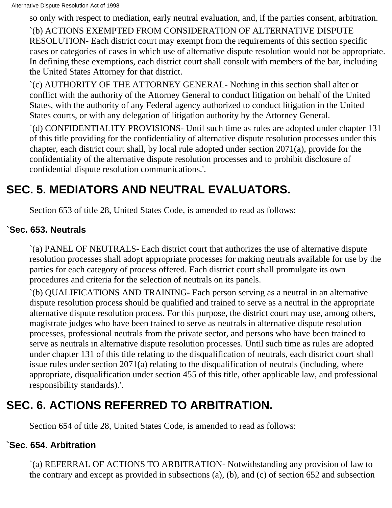Alternative Dispute Resolution Act of 1998

so only with respect to mediation, early neutral evaluation, and, if the parties consent, arbitration.

`(b) ACTIONS EXEMPTED FROM CONSIDERATION OF ALTERNATIVE DISPUTE RESOLUTION- Each district court may exempt from the requirements of this section specific cases or categories of cases in which use of alternative dispute resolution would not be appropriate. In defining these exemptions, each district court shall consult with members of the bar, including the United States Attorney for that district.

`(c) AUTHORITY OF THE ATTORNEY GENERAL- Nothing in this section shall alter or conflict with the authority of the Attorney General to conduct litigation on behalf of the United States, with the authority of any Federal agency authorized to conduct litigation in the United States courts, or with any delegation of litigation authority by the Attorney General.

`(d) CONFIDENTIALITY PROVISIONS- Until such time as rules are adopted under chapter 131 of this title providing for the confidentiality of alternative dispute resolution processes under this chapter, each district court shall, by local rule adopted under section 2071(a), provide for the confidentiality of the alternative dispute resolution processes and to prohibit disclosure of confidential dispute resolution communications.'.

## **SEC. 5. MEDIATORS AND NEUTRAL EVALUATORS.**

Section 653 of title 28, United States Code, is amended to read as follows:

### **`Sec. 653. Neutrals**

`(a) PANEL OF NEUTRALS- Each district court that authorizes the use of alternative dispute resolution processes shall adopt appropriate processes for making neutrals available for use by the parties for each category of process offered. Each district court shall promulgate its own procedures and criteria for the selection of neutrals on its panels.

`(b) QUALIFICATIONS AND TRAINING- Each person serving as a neutral in an alternative dispute resolution process should be qualified and trained to serve as a neutral in the appropriate alternative dispute resolution process. For this purpose, the district court may use, among others, magistrate judges who have been trained to serve as neutrals in alternative dispute resolution processes, professional neutrals from the private sector, and persons who have been trained to serve as neutrals in alternative dispute resolution processes. Until such time as rules are adopted under chapter 131 of this title relating to the disqualification of neutrals, each district court shall issue rules under section 2071(a) relating to the disqualification of neutrals (including, where appropriate, disqualification under section 455 of this title, other applicable law, and professional responsibility standards).'.

## **SEC. 6. ACTIONS REFERRED TO ARBITRATION.**

Section 654 of title 28, United States Code, is amended to read as follows:

### **`Sec. 654. Arbitration**

`(a) REFERRAL OF ACTIONS TO ARBITRATION- Notwithstanding any provision of law to the contrary and except as provided in subsections (a), (b), and (c) of section 652 and subsection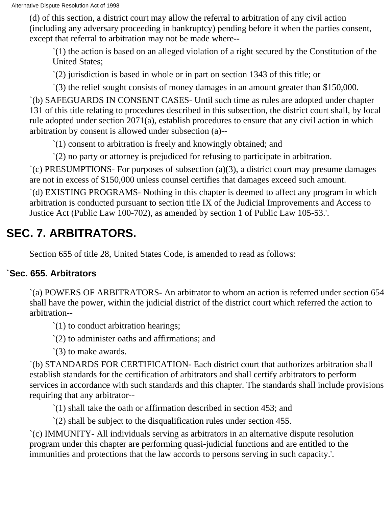(d) of this section, a district court may allow the referral to arbitration of any civil action (including any adversary proceeding in bankruptcy) pending before it when the parties consent, except that referral to arbitration may not be made where--

`(1) the action is based on an alleged violation of a right secured by the Constitution of the United States;

`(2) jurisdiction is based in whole or in part on section 1343 of this title; or

`(3) the relief sought consists of money damages in an amount greater than \$150,000.

`(b) SAFEGUARDS IN CONSENT CASES- Until such time as rules are adopted under chapter 131 of this title relating to procedures described in this subsection, the district court shall, by local rule adopted under section 2071(a), establish procedures to ensure that any civil action in which arbitration by consent is allowed under subsection (a)--

`(1) consent to arbitration is freely and knowingly obtained; and

`(2) no party or attorney is prejudiced for refusing to participate in arbitration.

`(c) PRESUMPTIONS- For purposes of subsection (a)(3), a district court may presume damages are not in excess of \$150,000 unless counsel certifies that damages exceed such amount.

`(d) EXISTING PROGRAMS- Nothing in this chapter is deemed to affect any program in which arbitration is conducted pursuant to section title IX of the Judicial Improvements and Access to Justice Act (Public Law 100-702), as amended by section 1 of Public Law 105-53.'.

# **SEC. 7. ARBITRATORS.**

Section 655 of title 28, United States Code, is amended to read as follows:

### **`Sec. 655. Arbitrators**

`(a) POWERS OF ARBITRATORS- An arbitrator to whom an action is referred under section 654 shall have the power, within the judicial district of the district court which referred the action to arbitration--

`(1) to conduct arbitration hearings;

`(2) to administer oaths and affirmations; and

`(3) to make awards.

`(b) STANDARDS FOR CERTIFICATION- Each district court that authorizes arbitration shall establish standards for the certification of arbitrators and shall certify arbitrators to perform services in accordance with such standards and this chapter. The standards shall include provisions requiring that any arbitrator--

`(1) shall take the oath or affirmation described in section 453; and

`(2) shall be subject to the disqualification rules under section 455.

`(c) IMMUNITY- All individuals serving as arbitrators in an alternative dispute resolution program under this chapter are performing quasi-judicial functions and are entitled to the immunities and protections that the law accords to persons serving in such capacity.'.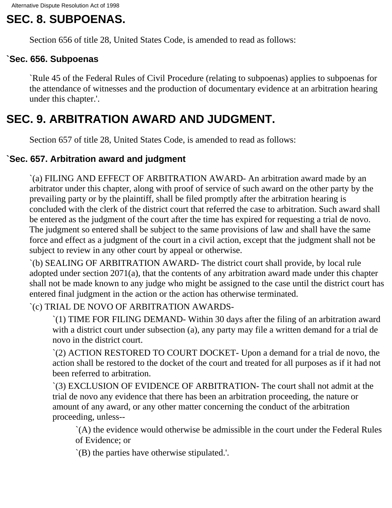## **SEC. 8. SUBPOENAS.**

Section 656 of title 28, United States Code, is amended to read as follows:

#### **`Sec. 656. Subpoenas**

`Rule 45 of the Federal Rules of Civil Procedure (relating to subpoenas) applies to subpoenas for the attendance of witnesses and the production of documentary evidence at an arbitration hearing under this chapter.'.

### **SEC. 9. ARBITRATION AWARD AND JUDGMENT.**

Section 657 of title 28, United States Code, is amended to read as follows:

### **`Sec. 657. Arbitration award and judgment**

`(a) FILING AND EFFECT OF ARBITRATION AWARD- An arbitration award made by an arbitrator under this chapter, along with proof of service of such award on the other party by the prevailing party or by the plaintiff, shall be filed promptly after the arbitration hearing is concluded with the clerk of the district court that referred the case to arbitration. Such award shall be entered as the judgment of the court after the time has expired for requesting a trial de novo. The judgment so entered shall be subject to the same provisions of law and shall have the same force and effect as a judgment of the court in a civil action, except that the judgment shall not be subject to review in any other court by appeal or otherwise.

`(b) SEALING OF ARBITRATION AWARD- The district court shall provide, by local rule adopted under section 2071(a), that the contents of any arbitration award made under this chapter shall not be made known to any judge who might be assigned to the case until the district court has entered final judgment in the action or the action has otherwise terminated.

`(c) TRIAL DE NOVO OF ARBITRATION AWARDS-

`(1) TIME FOR FILING DEMAND- Within 30 days after the filing of an arbitration award with a district court under subsection (a), any party may file a written demand for a trial de novo in the district court.

`(2) ACTION RESTORED TO COURT DOCKET- Upon a demand for a trial de novo, the action shall be restored to the docket of the court and treated for all purposes as if it had not been referred to arbitration.

`(3) EXCLUSION OF EVIDENCE OF ARBITRATION- The court shall not admit at the trial de novo any evidence that there has been an arbitration proceeding, the nature or amount of any award, or any other matter concerning the conduct of the arbitration proceeding, unless--

`(A) the evidence would otherwise be admissible in the court under the Federal Rules of Evidence; or

`(B) the parties have otherwise stipulated.'.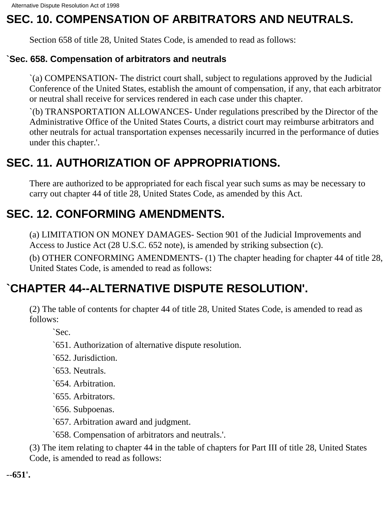# **SEC. 10. COMPENSATION OF ARBITRATORS AND NEUTRALS.**

Section 658 of title 28, United States Code, is amended to read as follows:

### **`Sec. 658. Compensation of arbitrators and neutrals**

`(a) COMPENSATION- The district court shall, subject to regulations approved by the Judicial Conference of the United States, establish the amount of compensation, if any, that each arbitrator or neutral shall receive for services rendered in each case under this chapter.

`(b) TRANSPORTATION ALLOWANCES- Under regulations prescribed by the Director of the Administrative Office of the United States Courts, a district court may reimburse arbitrators and other neutrals for actual transportation expenses necessarily incurred in the performance of duties under this chapter.'.

## **SEC. 11. AUTHORIZATION OF APPROPRIATIONS.**

There are authorized to be appropriated for each fiscal year such sums as may be necessary to carry out chapter 44 of title 28, United States Code, as amended by this Act.

## **SEC. 12. CONFORMING AMENDMENTS.**

(a) LIMITATION ON MONEY DAMAGES- Section 901 of the Judicial Improvements and Access to Justice Act (28 U.S.C. 652 note), is amended by striking subsection (c).

(b) OTHER CONFORMING AMENDMENTS- (1) The chapter heading for chapter 44 of title 28, United States Code, is amended to read as follows:

# **`CHAPTER 44--ALTERNATIVE DISPUTE RESOLUTION'.**

(2) The table of contents for chapter 44 of title 28, United States Code, is amended to read as follows:

`Sec.

`651. Authorization of alternative dispute resolution.

`652. Jurisdiction.

`653. Neutrals.

`654. Arbitration.

`655. Arbitrators.

`656. Subpoenas.

`657. Arbitration award and judgment.

`658. Compensation of arbitrators and neutrals.'.

(3) The item relating to chapter 44 in the table of chapters for Part III of title 28, United States Code, is amended to read as follows:

--**651'.**